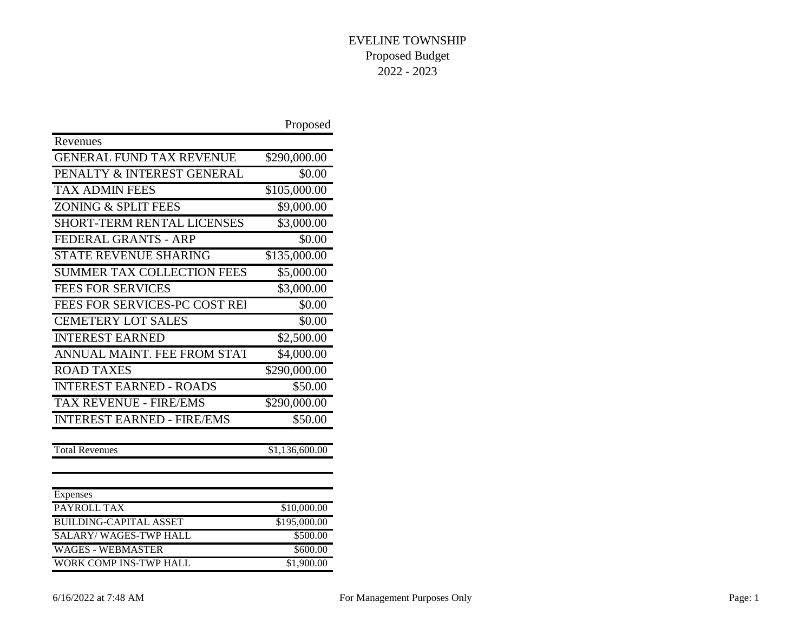|                                   | Proposed       |
|-----------------------------------|----------------|
| Revenues                          |                |
| <b>GENERAL FUND TAX REVENUE</b>   | \$290,000.00   |
| PENALTY & INTEREST GENERAL        | \$0.00         |
| <b>TAX ADMIN FEES</b>             | \$105,000.00   |
| ZONING & SPLIT FEES               | \$9,000.00     |
| <b>SHORT-TERM RENTAL LICENSES</b> | \$3,000.00     |
| FEDERAL GRANTS - ARP              | \$0.00         |
| <b>STATE REVENUE SHARING</b>      | \$135,000.00   |
| <b>SUMMER TAX COLLECTION FEES</b> | \$5,000.00     |
| <b>FEES FOR SERVICES</b>          | \$3,000.00     |
| FEES FOR SERVICES-PC COST REI     | \$0.00         |
| <b>CEMETERY LOT SALES</b>         | \$0.00         |
| <b>INTEREST EARNED</b>            | \$2,500.00     |
| ANNUAL MAINT. FEE FROM STAT       | \$4,000.00     |
| <b>ROAD TAXES</b>                 | \$290,000.00   |
| <b>INTEREST EARNED - ROADS</b>    | \$50.00        |
| <b>TAX REVENUE - FIRE/EMS</b>     | \$290,000.00   |
| <b>INTEREST EARNED - FIRE/EMS</b> | \$50.00        |
| <b>Total Revenues</b>             | \$1,136,600.00 |
|                                   |                |
| Expenses                          |                |
| PAYROLL TAX                       | \$10,000.00    |
| <b>BUILDING-CAPITAL ASSET</b>     | \$195,000.00   |
| <b>SALARY/WAGES-TWP HALL</b>      | \$500.00       |
| <b>WAGES - WEBMASTER</b>          | \$600.00       |
| <b>WORK COMP INS-TWP HALL</b>     | \$1,900.00     |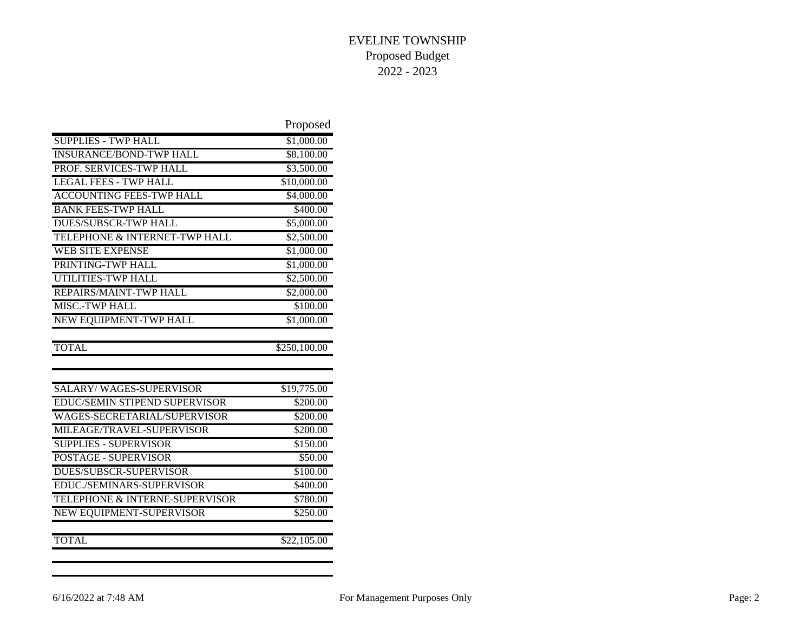|                                      | Proposed               |
|--------------------------------------|------------------------|
| <b>SUPPLIES - TWP HALL</b>           | \$1,000.00             |
| <b>INSURANCE/BOND-TWP HALL</b>       | \$8,100.00             |
| PROF. SERVICES-TWP HALL              | \$3,500.00             |
| <b>LEGAL FEES - TWP HALL</b>         | \$10,000.00            |
| <b>ACCOUNTING FEES-TWP HALL</b>      | \$4,000.00             |
| <b>BANK FEES-TWP HALL</b>            | \$400.00               |
| <b>DUES/SUBSCR-TWP HALL</b>          | \$5,000.00             |
| TELEPHONE & INTERNET-TWP HALL        | \$2,500.00             |
| <b>WEB SITE EXPENSE</b>              | \$1,000.00             |
| PRINTING-TWP HALL                    | \$1,000.00             |
| UTILITIES-TWP HALL                   | \$2,500.00             |
| REPAIRS/MAINT-TWP HALL               | \$2,000.00             |
| MISC.-TWP HALL                       | \$100.00               |
| NEW EQUIPMENT-TWP HALL               | $\overline{$1,000.00}$ |
|                                      |                        |
| <b>TOTAL</b>                         | \$250,100.00           |
|                                      |                        |
|                                      |                        |
| <b>SALARY/WAGES-SUPERVISOR</b>       | \$19,775.00            |
| <b>EDUC/SEMIN STIPEND SUPERVISOR</b> | \$200.00               |
| WAGES-SECRETARIAL/SUPERVISOR         | \$200.00               |
| MILEAGE/TRAVEL-SUPERVISOR            | \$200.00               |
| <b>SUPPLIES - SUPERVISOR</b>         | \$150.00               |
| <b>POSTAGE - SUPERVISOR</b>          | \$50.00                |
| <b>DUES/SUBSCR-SUPERVISOR</b>        | \$100.00               |
| EDUC./SEMINARS-SUPERVISOR            | \$400.00               |
| TELEPHONE & INTERNE-SUPERVISOR       | \$780.00               |
| NEW EQUIPMENT-SUPERVISOR             | \$250.00               |
| <b>TOTAL</b>                         | \$22,105.00            |
|                                      |                        |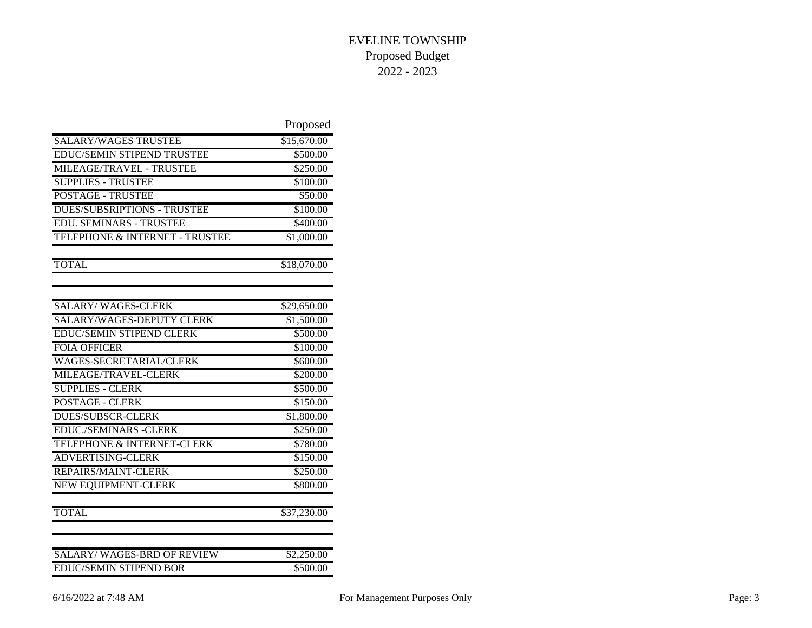|                                    | Proposed    |
|------------------------------------|-------------|
| <b>SALARY/WAGES TRUSTEE</b>        | \$15,670.00 |
| EDUC/SEMIN STIPEND TRUSTEE         | \$500.00    |
| MILEAGE/TRAVEL - TRUSTEE           | \$250.00    |
| <b>SUPPLIES - TRUSTEE</b>          | \$100.00    |
| <b>POSTAGE - TRUSTEE</b>           | \$50.00     |
| <b>DUES/SUBSRIPTIONS - TRUSTEE</b> | \$100.00    |
| <b>EDU. SEMINARS - TRUSTEE</b>     | \$400.00    |
| TELEPHONE & INTERNET - TRUSTEE     | \$1,000.00  |
| <b>TOTAL</b>                       | \$18,070.00 |
|                                    |             |
| <b>SALARY/WAGES-CLERK</b>          | \$29,650.00 |
| SALARY/WAGES-DEPUTY CLERK          | \$1,500.00  |
| <b>EDUC/SEMIN STIPEND CLERK</b>    | \$500.00    |
| <b>FOIA OFFICER</b>                | \$100.00    |
| WAGES-SECRETARIAL/CLERK            | \$600.00    |
| MILEAGE/TRAVEL-CLERK               | \$200.00    |
| <b>SUPPLIES - CLERK</b>            | \$500.00    |
| <b>POSTAGE - CLERK</b>             | \$150.00    |
| <b>DUES/SUBSCR-CLERK</b>           | \$1,800.00  |
| <b>EDUC./SEMINARS -CLERK</b>       | \$250.00    |
| TELEPHONE & INTERNET-CLERK         | \$780.00    |
| <b>ADVERTISING-CLERK</b>           | \$150.00    |
| REPAIRS/MAINT-CLERK                | \$250.00    |
| <b>NEW EQUIPMENT-CLERK</b>         | \$800.00    |
| <b>TOTAL</b>                       | \$37,230.00 |
| <b>SALARY/WAGES-BRD OF REVIEW</b>  | \$2,250.00  |
| <b>EDUC/SEMIN STIPEND BOR</b>      | \$500.00    |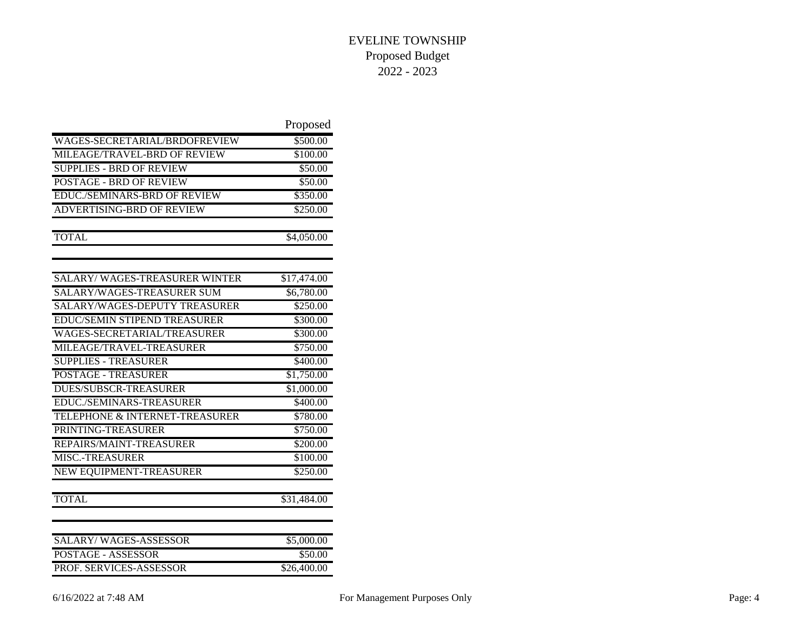|                                      | Proposed             |
|--------------------------------------|----------------------|
| WAGES-SECRETARIAL/BRDOFREVIEW        | \$500.00             |
| MILEAGE/TRAVEL-BRD OF REVIEW         | \$100.00             |
| <b>SUPPLIES - BRD OF REVIEW</b>      | \$50.00              |
| <b>POSTAGE - BRD OF REVIEW</b>       | \$50.00              |
| EDUC./SEMINARS-BRD OF REVIEW         | \$350.00             |
| ADVERTISING-BRD OF REVIEW            | \$250.00             |
| <b>TOTAL</b>                         | \$4,050.00           |
|                                      |                      |
| <b>SALARY/WAGES-TREASURER WINTER</b> | \$17,474.00          |
| SALARY/WAGES-TREASURER SUM           | \$6,780.00           |
| SALARY/WAGES-DEPUTY TREASURER        | \$250.00             |
| EDUC/SEMIN STIPEND TREASURER         | \$300.00             |
| WAGES-SECRETARIAL/TREASURER          | \$300.00             |
| MILEAGE/TRAVEL-TREASURER             | $\overline{$}750.00$ |
| <b>SUPPLIES - TREASURER</b>          | \$400.00             |
| <b>POSTAGE - TREASURER</b>           | \$1,750.00           |
| <b>DUES/SUBSCR-TREASURER</b>         | \$1,000.00           |
| EDUC./SEMINARS-TREASURER             | \$400.00             |
| TELEPHONE & INTERNET-TREASURER       | \$780.00             |
| PRINTING-TREASURER                   | \$750.00             |
| REPAIRS/MAINT-TREASURER              | \$200.00             |
| <b>MISC.-TREASURER</b>               | \$100.00             |
| NEW EQUIPMENT-TREASURER              | \$250.00             |
| <b>TOTAL</b>                         | \$31,484.00          |
| <b>SALARY/WAGES-ASSESSOR</b>         | \$5,000.00           |
| <b>POSTAGE - ASSESSOR</b>            | \$50.00              |
| PROF. SERVICES-ASSESSOR              | \$26,400.00          |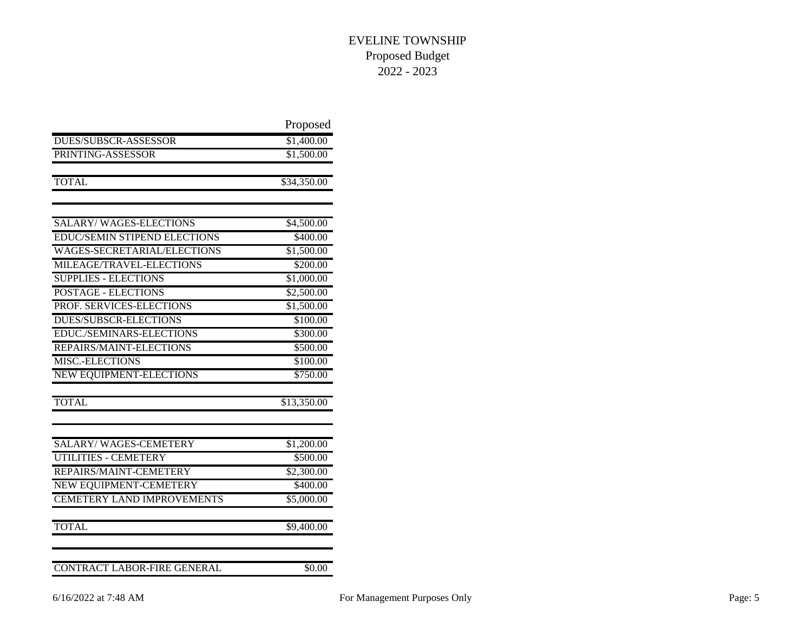|                                     | Proposed    |
|-------------------------------------|-------------|
| DUES/SUBSCR-ASSESSOR                | \$1,400.00  |
| PRINTING-ASSESSOR                   | \$1,500.00  |
| <b>TOTAL</b>                        | \$34,350.00 |
|                                     |             |
| <b>SALARY/WAGES-ELECTIONS</b>       | \$4,500.00  |
| <b>EDUC/SEMIN STIPEND ELECTIONS</b> | \$400.00    |
| WAGES-SECRETARIAL/ELECTIONS         | \$1,500.00  |
| MILEAGE/TRAVEL-ELECTIONS            | \$200.00    |
| <b>SUPPLIES - ELECTIONS</b>         | \$1,000.00  |
| <b>POSTAGE - ELECTIONS</b>          | \$2,500.00  |
| PROF. SERVICES-ELECTIONS            | \$1,500.00  |
| <b>DUES/SUBSCR-ELECTIONS</b>        | \$100.00    |
| EDUC./SEMINARS-ELECTIONS            | \$300.00    |
| REPAIRS/MAINT-ELECTIONS             | \$500.00    |
| <b>MISC.-ELECTIONS</b>              | \$100.00    |
| NEW EQUIPMENT-ELECTIONS             | \$750.00    |
| <b>TOTAL</b>                        | \$13,350.00 |
| <b>SALARY/WAGES-CEMETERY</b>        | \$1,200.00  |
| <b>UTILITIES - CEMETERY</b>         | \$500.00    |
| REPAIRS/MAINT-CEMETERY              | \$2,300.00  |
| NEW EQUIPMENT-CEMETERY              | \$400.00    |
| <b>CEMETERY LAND IMPROVEMENTS</b>   | \$5,000.00  |
| <b>TOTAL</b>                        | \$9,400.00  |
| <b>CONTRACT LABOR-FIRE GENERAL</b>  | \$0.00      |
|                                     |             |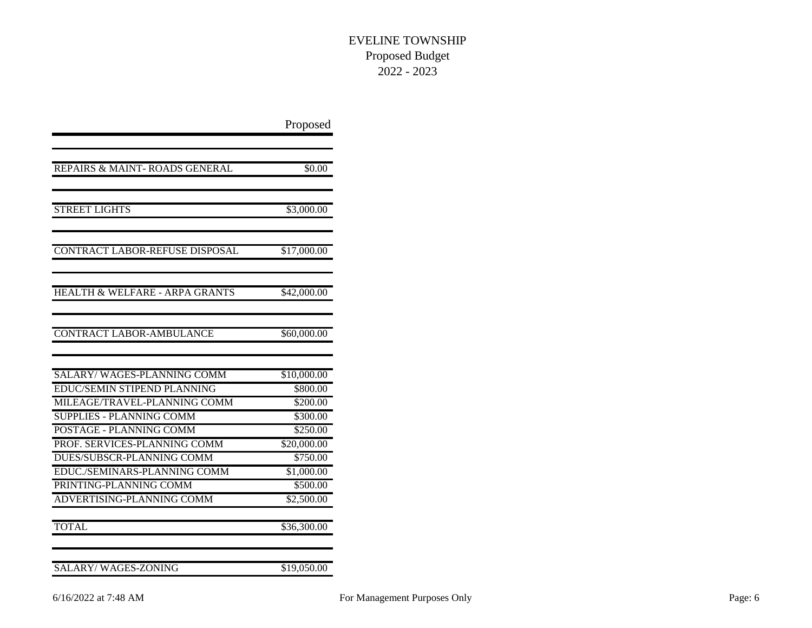|                                           | Proposed    |
|-------------------------------------------|-------------|
|                                           |             |
| REPAIRS & MAINT-ROADS GENERAL             | \$0.00      |
| <b>STREET LIGHTS</b>                      | \$3,000.00  |
| CONTRACT LABOR-REFUSE DISPOSAL            | \$17,000.00 |
| <b>HEALTH &amp; WELFARE - ARPA GRANTS</b> | \$42,000.00 |
| <b>CONTRACT LABOR-AMBULANCE</b>           | \$60,000.00 |
| SALARY/WAGES-PLANNING COMM                | \$10,000.00 |
| <b>EDUC/SEMIN STIPEND PLANNING</b>        | \$800.00    |
| MILEAGE/TRAVEL-PLANNING COMM              | \$200.00    |
| <b>SUPPLIES - PLANNING COMM</b>           | \$300.00    |
| <b>POSTAGE - PLANNING COMM</b>            | \$250.00    |
| PROF. SERVICES-PLANNING COMM              | \$20,000.00 |
| DUES/SUBSCR-PLANNING COMM                 | \$750.00    |
| EDUC./SEMINARS-PLANNING COMM              | \$1,000.00  |
| PRINTING-PLANNING COMM                    | \$500.00    |
| <b>ADVERTISING-PLANNING COMM</b>          | \$2,500.00  |
| <b>TOTAL</b>                              | \$36,300.00 |
| <b>SALARY/WAGES-ZONING</b>                | \$19,050.00 |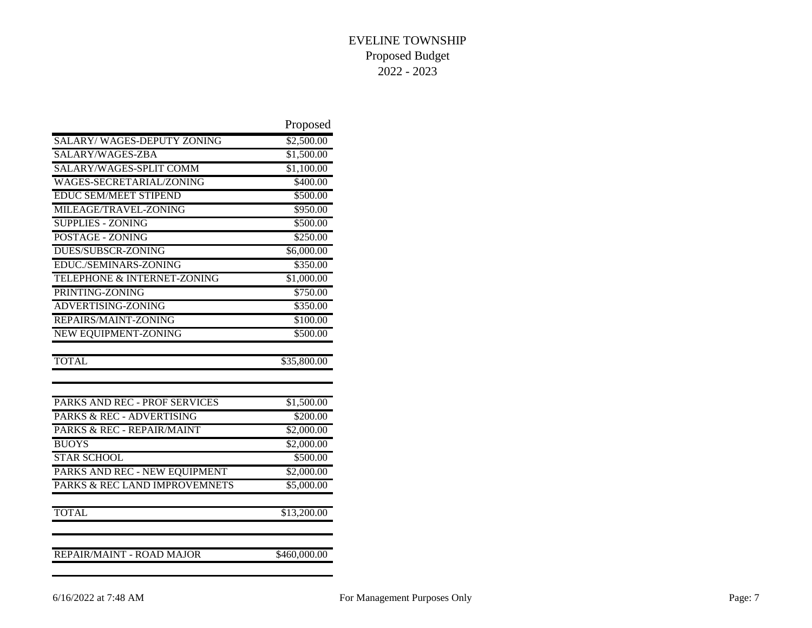|                                   | Proposed     |
|-----------------------------------|--------------|
| <b>SALARY/WAGES-DEPUTY ZONING</b> | \$2,500.00   |
| SALARY/WAGES-ZBA                  | \$1,500.00   |
| SALARY/WAGES-SPLIT COMM           | \$1,100.00   |
| WAGES-SECRETARIAL/ZONING          | \$400.00     |
| <b>EDUC SEM/MEET STIPEND</b>      | \$500.00     |
| MILEAGE/TRAVEL-ZONING             | \$950.00     |
| <b>SUPPLIES - ZONING</b>          | \$500.00     |
| POSTAGE - ZONING                  | \$250.00     |
| <b>DUES/SUBSCR-ZONING</b>         | \$6,000.00   |
| EDUC./SEMINARS-ZONING             | \$350.00     |
| TELEPHONE & INTERNET-ZONING       | \$1,000.00   |
| PRINTING-ZONING                   | \$750.00     |
| ADVERTISING-ZONING                | \$350.00     |
| REPAIRS/MAINT-ZONING              | \$100.00     |
| <b>NEW EQUIPMENT-ZONING</b>       | \$500.00     |
| <b>TOTAL</b>                      | \$35,800.00  |
|                                   |              |
| PARKS AND REC - PROF SERVICES     | \$1,500.00   |
| PARKS & REC - ADVERTISING         | \$200.00     |
| PARKS & REC - REPAIR/MAINT        | \$2,000.00   |
| <b>BUOYS</b>                      | \$2,000.00   |
| <b>STAR SCHOOL</b>                | \$500.00     |
| PARKS AND REC - NEW EQUIPMENT     | \$2,000.00   |
| PARKS & REC LAND IMPROVEMNETS     | \$5,000.00   |
| <b>TOTAL</b>                      | \$13,200.00  |
| <b>REPAIR/MAINT - ROAD MAJOR</b>  | \$460,000.00 |